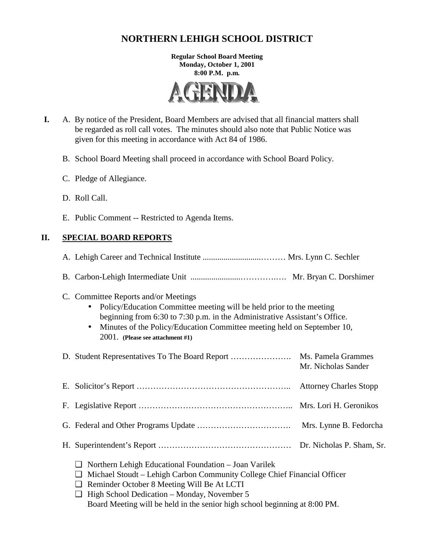# **NORTHERN LEHIGH SCHOOL DISTRICT**

**Regular School Board Meeting Monday, October 1, 2001 8:00 P.M. p.m.** 



- **I.** A. By notice of the President, Board Members are advised that all financial matters shall be regarded as roll call votes. The minutes should also note that Public Notice was given for this meeting in accordance with Act 84 of 1986.
	- B. School Board Meeting shall proceed in accordance with School Board Policy.
	- C. Pledge of Allegiance.
	- D. Roll Call.
	- E. Public Comment -- Restricted to Agenda Items.

# **II. SPECIAL BOARD REPORTS**

| C. Committee Reports and/or Meetings<br>Policy/Education Committee meeting will be held prior to the meeting<br>beginning from 6:30 to 7:30 p.m. in the Administrative Assistant's Office.<br>Minutes of the Policy/Education Committee meeting held on September 10,<br>2001. (Please see attachment #1)                        |                     |
|----------------------------------------------------------------------------------------------------------------------------------------------------------------------------------------------------------------------------------------------------------------------------------------------------------------------------------|---------------------|
|                                                                                                                                                                                                                                                                                                                                  | Mr. Nicholas Sander |
|                                                                                                                                                                                                                                                                                                                                  |                     |
|                                                                                                                                                                                                                                                                                                                                  |                     |
|                                                                                                                                                                                                                                                                                                                                  |                     |
|                                                                                                                                                                                                                                                                                                                                  |                     |
| Northern Lehigh Educational Foundation - Joan Varilek<br>❏<br>Michael Stoudt – Lehigh Carbon Community College Chief Financial Officer<br>⊔<br>Reminder October 8 Meeting Will Be At LCTI<br>⊔<br>High School Dedication - Monday, November 5<br>⊔<br>Board Meeting will be held in the senior high school beginning at 8:00 PM. |                     |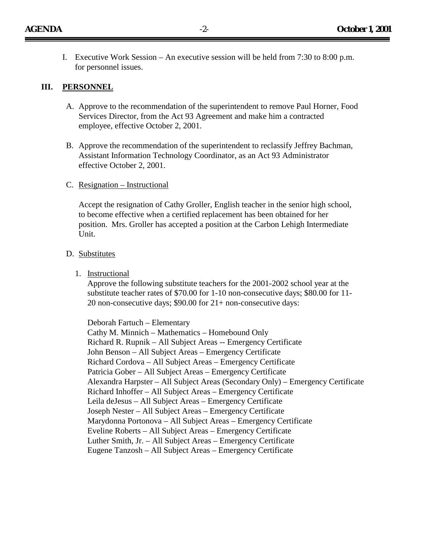I. Executive Work Session – An executive session will be held from 7:30 to 8:00 p.m. for personnel issues.

#### **III. PERSONNEL**

- A. Approve to the recommendation of the superintendent to remove Paul Horner, Food Services Director, from the Act 93 Agreement and make him a contracted employee, effective October 2, 2001.
- B. Approve the recommendation of the superintendent to reclassify Jeffrey Bachman, Assistant Information Technology Coordinator, as an Act 93 Administrator effective October 2, 2001.
- C. Resignation Instructional

Accept the resignation of Cathy Groller, English teacher in the senior high school, to become effective when a certified replacement has been obtained for her position. Mrs. Groller has accepted a position at the Carbon Lehigh Intermediate Unit.

#### D. Substitutes

1. Instructional

Approve the following substitute teachers for the 2001-2002 school year at the substitute teacher rates of \$70.00 for 1-10 non-consecutive days; \$80.00 for 11- 20 non-consecutive days; \$90.00 for 21+ non-consecutive days:

Deborah Fartuch – Elementary Cathy M. Minnich – Mathematics – Homebound Only Richard R. Rupnik – All Subject Areas -- Emergency Certificate John Benson – All Subject Areas – Emergency Certificate Richard Cordova – All Subject Areas – Emergency Certificate Patricia Gober – All Subject Areas – Emergency Certificate Alexandra Harpster – All Subject Areas (Secondary Only) – Emergency Certificate Richard Inhoffer – All Subject Areas – Emergency Certificate Leila deJesus – All Subject Areas – Emergency Certificate Joseph Nester – All Subject Areas – Emergency Certificate Marydonna Portonova – All Subject Areas – Emergency Certificate Eveline Roberts – All Subject Areas – Emergency Certificate Luther Smith, Jr. – All Subject Areas – Emergency Certificate Eugene Tanzosh – All Subject Areas – Emergency Certificate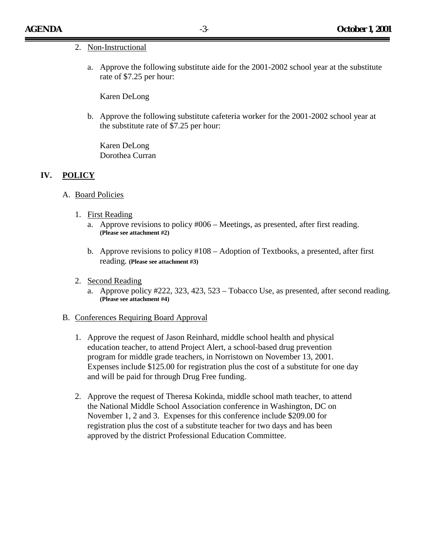#### 2. Non-Instructional

a. Approve the following substitute aide for the 2001-2002 school year at the substitute rate of \$7.25 per hour:

Karen DeLong

b. Approve the following substitute cafeteria worker for the 2001-2002 school year at the substitute rate of \$7.25 per hour:

Karen DeLong Dorothea Curran

#### **IV. POLICY**

- A. Board Policies
	- 1. First Reading
		- a. Approve revisions to policy #006 Meetings, as presented, after first reading. **(Please see attachment #2)**
		- b. Approve revisions to policy #108 Adoption of Textbooks, a presented, after first reading. **(Please see attachment #3)**
	- 2. Second Reading
		- a. Approve policy #222, 323, 423, 523 Tobacco Use, as presented, after second reading. **(Please see attachment #4)**
- B. Conferences Requiring Board Approval
	- 1. Approve the request of Jason Reinhard, middle school health and physical education teacher, to attend Project Alert, a school-based drug prevention program for middle grade teachers, in Norristown on November 13, 2001. Expenses include \$125.00 for registration plus the cost of a substitute for one day and will be paid for through Drug Free funding.
	- 2. Approve the request of Theresa Kokinda, middle school math teacher, to attend the National Middle School Association conference in Washington, DC on November 1, 2 and 3. Expenses for this conference include \$209.00 for registration plus the cost of a substitute teacher for two days and has been approved by the district Professional Education Committee.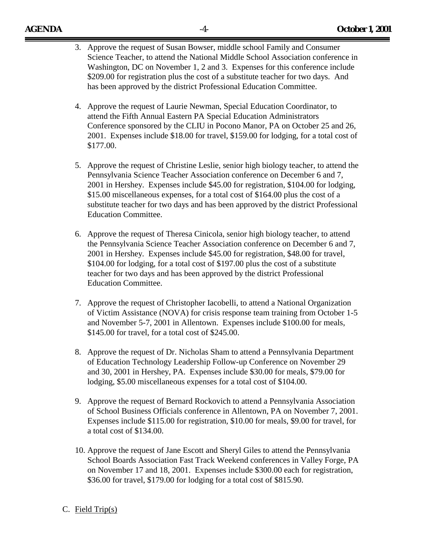- 3. Approve the request of Susan Bowser, middle school Family and Consumer Science Teacher, to attend the National Middle School Association conference in Washington, DC on November 1, 2 and 3. Expenses for this conference include \$209.00 for registration plus the cost of a substitute teacher for two days. And has been approved by the district Professional Education Committee.
- 4. Approve the request of Laurie Newman, Special Education Coordinator, to attend the Fifth Annual Eastern PA Special Education Administrators Conference sponsored by the CLIU in Pocono Manor, PA on October 25 and 26, 2001. Expenses include \$18.00 for travel, \$159.00 for lodging, for a total cost of \$177.00.
- 5. Approve the request of Christine Leslie, senior high biology teacher, to attend the Pennsylvania Science Teacher Association conference on December 6 and 7, 2001 in Hershey. Expenses include \$45.00 for registration, \$104.00 for lodging, \$15.00 miscellaneous expenses, for a total cost of \$164.00 plus the cost of a substitute teacher for two days and has been approved by the district Professional Education Committee.
- 6. Approve the request of Theresa Cinicola, senior high biology teacher, to attend the Pennsylvania Science Teacher Association conference on December 6 and 7, 2001 in Hershey. Expenses include \$45.00 for registration, \$48.00 for travel, \$104.00 for lodging, for a total cost of \$197.00 plus the cost of a substitute teacher for two days and has been approved by the district Professional Education Committee.
- 7. Approve the request of Christopher Iacobelli, to attend a National Organization of Victim Assistance (NOVA) for crisis response team training from October 1-5 and November 5-7, 2001 in Allentown. Expenses include \$100.00 for meals, \$145.00 for travel, for a total cost of \$245.00.
- 8. Approve the request of Dr. Nicholas Sham to attend a Pennsylvania Department of Education Technology Leadership Follow-up Conference on November 29 and 30, 2001 in Hershey, PA. Expenses include \$30.00 for meals, \$79.00 for lodging, \$5.00 miscellaneous expenses for a total cost of \$104.00.
- 9. Approve the request of Bernard Rockovich to attend a Pennsylvania Association of School Business Officials conference in Allentown, PA on November 7, 2001. Expenses include \$115.00 for registration, \$10.00 for meals, \$9.00 for travel, for a total cost of \$134.00.
- 10. Approve the request of Jane Escott and Sheryl Giles to attend the Pennsylvania School Boards Association Fast Track Weekend conferences in Valley Forge, PA on November 17 and 18, 2001. Expenses include \$300.00 each for registration, \$36.00 for travel, \$179.00 for lodging for a total cost of \$815.90.

#### C. Field Trip(s)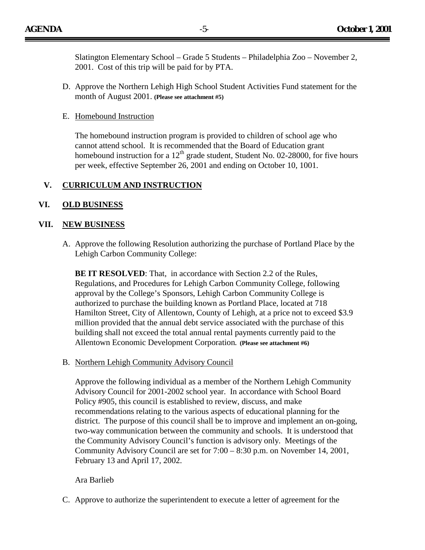- D. Approve the Northern Lehigh High School Student Activities Fund statement for the month of August 2001. **(Please see attachment #5)**
- E. Homebound Instruction

The homebound instruction program is provided to children of school age who cannot attend school. It is recommended that the Board of Education grant homebound instruction for a  $12<sup>th</sup>$  grade student, Student No. 02-28000, for five hours per week, effective September 26, 2001 and ending on October 10, 1001.

# **V. CURRICULUM AND INSTRUCTION**

### **VI. OLD BUSINESS**

### **VII. NEW BUSINESS**

A. Approve the following Resolution authorizing the purchase of Portland Place by the Lehigh Carbon Community College:

**BE IT RESOLVED:** That, in accordance with Section 2.2 of the Rules, Regulations, and Procedures for Lehigh Carbon Community College, following approval by the College's Sponsors, Lehigh Carbon Community College is authorized to purchase the building known as Portland Place, located at 718 Hamilton Street, City of Allentown, County of Lehigh, at a price not to exceed \$3.9 million provided that the annual debt service associated with the purchase of this building shall not exceed the total annual rental payments currently paid to the Allentown Economic Development Corporation**. (Please see attachment #6)** 

B. Northern Lehigh Community Advisory Council

Approve the following individual as a member of the Northern Lehigh Community Advisory Council for 2001-2002 school year. In accordance with School Board Policy #905, this council is established to review, discuss, and make recommendations relating to the various aspects of educational planning for the district. The purpose of this council shall be to improve and implement an on-going, two-way communication between the community and schools. It is understood that the Community Advisory Council's function is advisory only. Meetings of the Community Advisory Council are set for 7:00 – 8:30 p.m. on November 14, 2001, February 13 and April 17, 2002.

#### Ara Barlieb

C. Approve to authorize the superintendent to execute a letter of agreement for the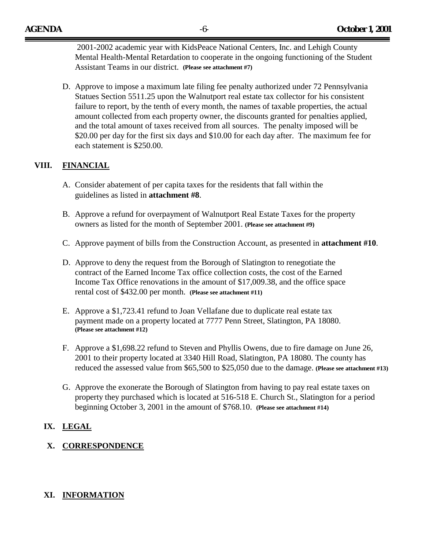2001-2002 academic year with KidsPeace National Centers, Inc. and Lehigh County Mental Health-Mental Retardation to cooperate in the ongoing functioning of the Student Assistant Teams in our district. **(Please see attachment #7)**

D. Approve to impose a maximum late filing fee penalty authorized under 72 Pennsylvania Statues Section 5511.25 upon the Walnutport real estate tax collector for his consistent failure to report, by the tenth of every month, the names of taxable properties, the actual amount collected from each property owner, the discounts granted for penalties applied, and the total amount of taxes received from all sources. The penalty imposed will be \$20.00 per day for the first six days and \$10.00 for each day after. The maximum fee for each statement is \$250.00.

# **VIII. FINANCIAL**

- A. Consider abatement of per capita taxes for the residents that fall within the guidelines as listed in **attachment #8**.
- B. Approve a refund for overpayment of Walnutport Real Estate Taxes for the property owners as listed for the month of September 2001. **(Please see attachment #9)**
- C. Approve payment of bills from the Construction Account, as presented in **attachment #10**.
- D. Approve to deny the request from the Borough of Slatington to renegotiate the contract of the Earned Income Tax office collection costs, the cost of the Earned Income Tax Office renovations in the amount of \$17,009.38, and the office space rental cost of \$432.00 per month. **(Please see attachment #11)**
- E. Approve a \$1,723.41 refund to Joan Vellafane due to duplicate real estate tax payment made on a property located at 7777 Penn Street, Slatington, PA 18080. **(Please see attachment #12)**
- F. Approve a \$1,698.22 refund to Steven and Phyllis Owens, due to fire damage on June 26, 2001 to their property located at 3340 Hill Road, Slatington, PA 18080. The county has reduced the assessed value from \$65,500 to \$25,050 due to the damage. **(Please see attachment #13)**
- G. Approve the exonerate the Borough of Slatington from having to pay real estate taxes on property they purchased which is located at 516-518 E. Church St., Slatington for a period beginning October 3, 2001 in the amount of \$768.10. **(Please see attachment #14)**

# **IX. LEGAL**

# **X. CORRESPONDENCE**

# **XI. INFORMATION**